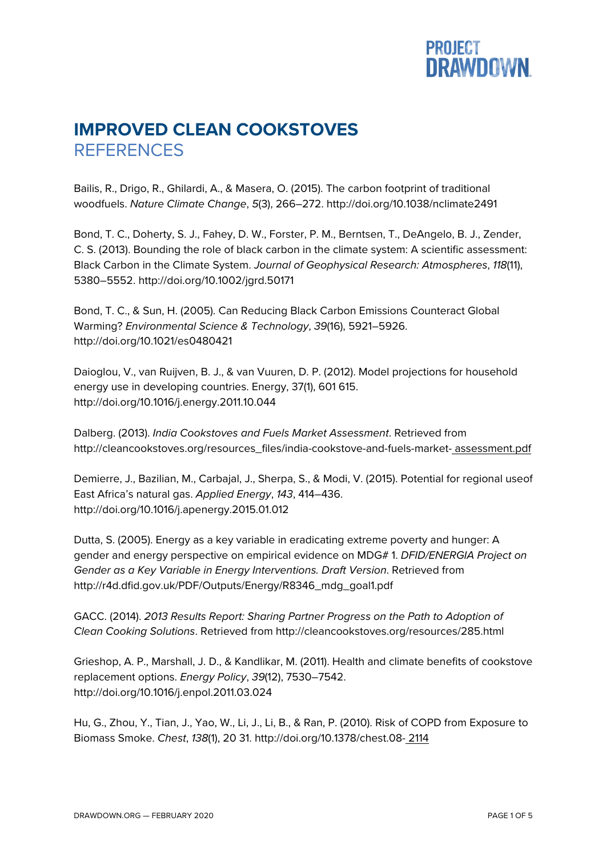## **PROJECT<br>DRAWDOWN.**

## **IMPROVED CLEAN COOKSTOVES REFERENCES**

Bailis, R., Drigo, R., Ghilardi, A., & Masera, O. (2015). The carbon footprint of traditional woodfuels. *Nature Climate Change*, *5*(3), 266–272. http://doi.org/10.1038/nclimate2491

Bond, T. C., Doherty, S. J., Fahey, D. W., Forster, P. M., Berntsen, T., DeAngelo, B. J., Zender, C. S. (2013). Bounding the role of black carbon in the climate system: A scientific assessment: Black Carbon in the Climate System. *Journal of Geophysical Research: Atmospheres*, *118*(11), 5380–5552. http://doi.org/10.1002/jgrd.50171

Bond, T. C., & Sun, H. (2005). Can Reducing Black Carbon Emissions Counteract Global Warming? *Environmental Science & Technology*, *39*(16), 5921–5926. http://doi.org/10.1021/es0480421

Daioglou, V., van Ruijven, B. J., & van Vuuren, D. P. (2012). Model projections for household energy use in developing countries. Energy, 37(1), 601 615. http://doi.org/10.1016/j.energy.2011.10.044

Dalberg. (2013). *India Cookstoves and Fuels Market Assessment*. Retrieved from http://cleancookstoves.org/resources\_files/india-cookstove-and-fuels-market- assessment.pdf

Demierre, J., Bazilian, M., Carbajal, J., Sherpa, S., & Modi, V. (2015). Potential for regional useof East Africa's natural gas. *Applied Energy*, *143*, 414–436. http://doi.org/10.1016/j.apenergy.2015.01.012

Dutta, S. (2005). Energy as a key variable in eradicating extreme poverty and hunger: A gender and energy perspective on empirical evidence on MDG# 1. *DFID/ENERGIA Project on Gender as a Key Variable in Energy Interventions. Draft Version*. Retrieved from http://r4d.dfid.gov.uk/PDF/Outputs/Energy/R8346\_mdg\_goal1.pdf

GACC. (2014). *2013 Results Report: Sharing Partner Progress on the Path to Adoption of Clean Cooking Solutions*. Retrieved from http://cleancookstoves.org/resources/285.html

Grieshop, A. P., Marshall, J. D., & Kandlikar, M. (2011). Health and climate benefits of cookstove replacement options. *Energy Policy*, *39*(12), 7530–7542. http://doi.org/10.1016/j.enpol.2011.03.024

Hu, G., Zhou, Y., Tian, J., Yao, W., Li, J., Li, B., & Ran, P. (2010). Risk of COPD from Exposure to Biomass Smoke. *Chest*, *138*(1), 20 31. http://doi.org/10.1378/chest.08- 2114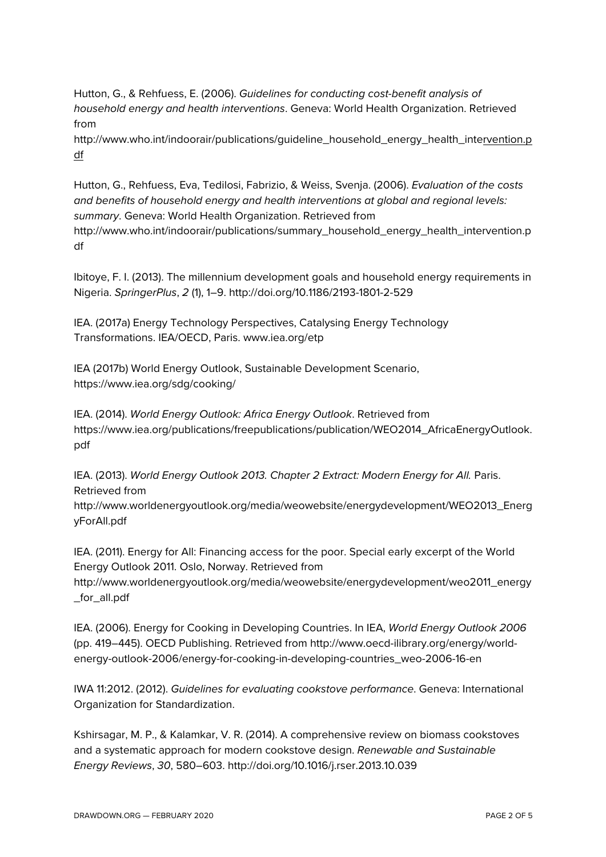Hutton, G., & Rehfuess, E. (2006). *Guidelines for conducting cost-benefit analysis of household energy and health interventions*. Geneva: World Health Organization. Retrieved from

http://www.who.int/indoorair/publications/guideline\_household\_energy\_health\_intervention.p df

Hutton, G., Rehfuess, Eva, Tedilosi, Fabrizio, & Weiss, Svenja. (2006). *Evaluation of the costs and benefits of household energy and health interventions at global and regional levels: summary*. Geneva: World Health Organization. Retrieved from http://www.who.int/indoorair/publications/summary\_household\_energy\_health\_intervention.p df

Ibitoye, F. I. (2013). The millennium development goals and household energy requirements in Nigeria. *SpringerPlus*, *2* (1), 1–9. http://doi.org/10.1186/2193-1801-2-529

IEA. (2017a) Energy Technology Perspectives, Catalysing Energy Technology Transformations. IEA/OECD, Paris. www.iea.org/etp

IEA (2017b) World Energy Outlook, Sustainable Development Scenario, https://www.iea.org/sdg/cooking/

IEA. (2014). *World Energy Outlook: Africa Energy Outlook*. Retrieved from https://www.iea.org/publications/freepublications/publication/WEO2014\_AfricaEnergyOutlook. pdf

IEA. (2013). *World Energy Outlook 2013. Chapter 2 Extract: Modern Energy for All.* Paris. Retrieved from

http://www.worldenergyoutlook.org/media/weowebsite/energydevelopment/WEO2013\_Energ yForAll.pdf

IEA. (2011). Energy for All: Financing access for the poor. Special early excerpt of the World Energy Outlook 2011. Oslo, Norway. Retrieved from

http://www.worldenergyoutlook.org/media/weowebsite/energydevelopment/weo2011\_energy for all.pdf

IEA. (2006). Energy for Cooking in Developing Countries. In IEA, *World Energy Outlook 2006* (pp. 419–445). OECD Publishing. Retrieved from http://www.oecd-ilibrary.org/energy/worldenergy-outlook-2006/energy-for-cooking-in-developing-countries\_weo-2006-16-en

IWA 11:2012. (2012). *Guidelines for evaluating cookstove performance*. Geneva: International Organization for Standardization.

Kshirsagar, M. P., & Kalamkar, V. R. (2014). A comprehensive review on biomass cookstoves and a systematic approach for modern cookstove design. *Renewable and Sustainable Energy Reviews*, *30*, 580–603. http://doi.org/10.1016/j.rser.2013.10.039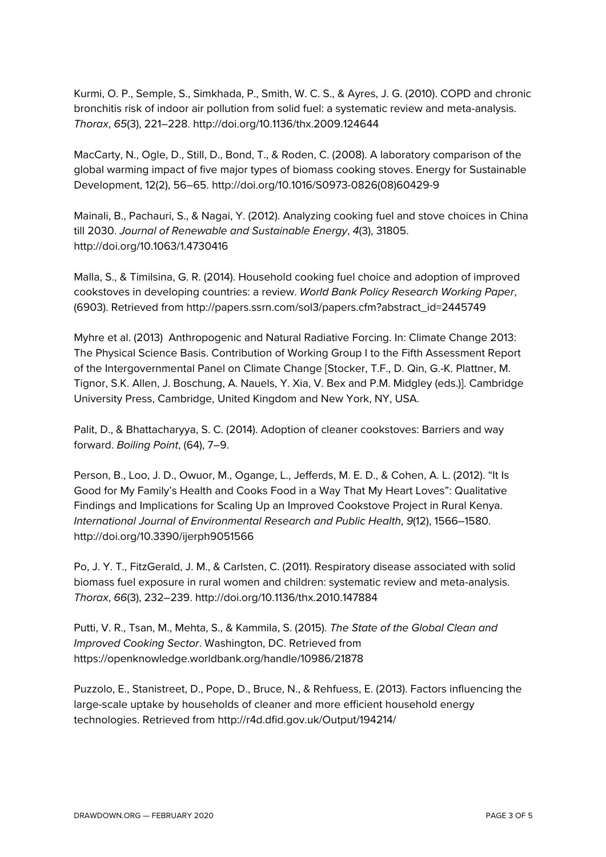Kurmi, O. P., Semple, S., Simkhada, P., Smith, W. C. S., & Ayres, J. G. (2010). COPD and chronic bronchitis risk of indoor air pollution from solid fuel: a systematic review and meta-analysis. *Thorax*, *65*(3), 221–228. http://doi.org/10.1136/thx.2009.124644

MacCarty, N., Ogle, D., Still, D., Bond, T., & Roden, C. (2008). A laboratory comparison of the global warming impact of five major types of biomass cooking stoves. Energy for Sustainable Development, 12(2), 56–65. http://doi.org/10.1016/S0973-0826(08)60429-9

Mainali, B., Pachauri, S., & Nagai, Y. (2012). Analyzing cooking fuel and stove choices in China till 2030. *Journal of Renewable and Sustainable Energy*, *4*(3), 31805. http://doi.org/10.1063/1.4730416

Malla, S., & Timilsina, G. R. (2014). Household cooking fuel choice and adoption of improved cookstoves in developing countries: a review. *World Bank Policy Research Working Paper*, (6903). Retrieved from http://papers.ssrn.com/sol3/papers.cfm?abstract\_id=2445749

Myhre et al. (2013) Anthropogenic and Natural Radiative Forcing. In: Climate Change 2013: The Physical Science Basis. Contribution of Working Group I to the Fifth Assessment Report of the Intergovernmental Panel on Climate Change [Stocker, T.F., D. Qin, G.-K. Plattner, M. Tignor, S.K. Allen, J. Boschung, A. Nauels, Y. Xia, V. Bex and P.M. Midgley (eds.)]. Cambridge University Press, Cambridge, United Kingdom and New York, NY, USA.

Palit, D., & Bhattacharyya, S. C. (2014). Adoption of cleaner cookstoves: Barriers and way forward. *Boiling Point*, (64), 7–9.

Person, B., Loo, J. D., Owuor, M., Ogange, L., Jefferds, M. E. D., & Cohen, A. L. (2012). "It Is Good for My Family's Health and Cooks Food in a Way That My Heart Loves": Qualitative Findings and Implications for Scaling Up an Improved Cookstove Project in Rural Kenya. *International Journal of Environmental Research and Public Health*, *9*(12), 1566–1580. http://doi.org/10.3390/ijerph9051566

Po, J. Y. T., FitzGerald, J. M., & Carlsten, C. (2011). Respiratory disease associated with solid biomass fuel exposure in rural women and children: systematic review and meta-analysis. *Thorax*, *66*(3), 232–239. http://doi.org/10.1136/thx.2010.147884

Putti, V. R., Tsan, M., Mehta, S., & Kammila, S. (2015). *The State of the Global Clean and Improved Cooking Sector*. Washington, DC. Retrieved from https://openknowledge.worldbank.org/handle/10986/21878

Puzzolo, E., Stanistreet, D., Pope, D., Bruce, N., & Rehfuess, E. (2013). Factors influencing the large-scale uptake by households of cleaner and more efficient household energy technologies. Retrieved from http://r4d.dfid.gov.uk/Output/194214/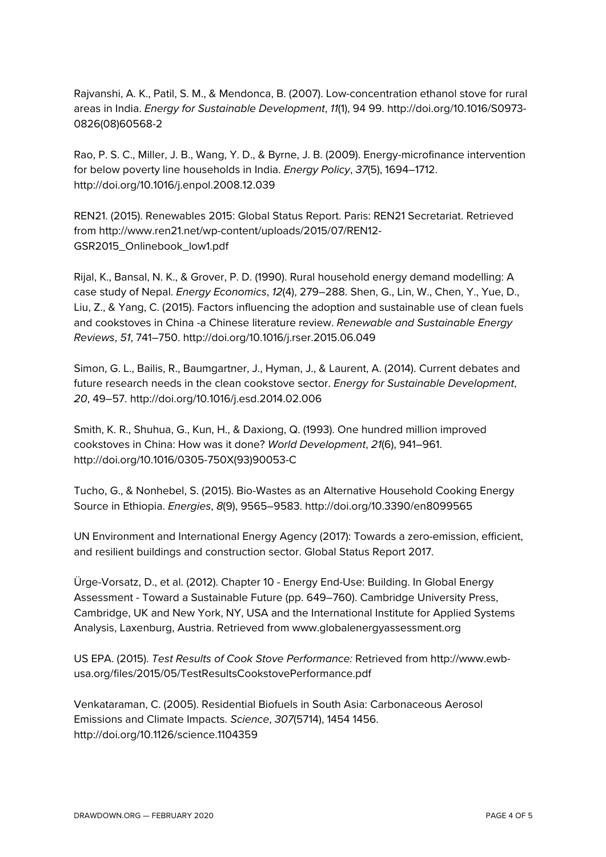Rajvanshi, A. K., Patil, S. M., & Mendonca, B. (2007). Low-concentration ethanol stove for rural areas in India. *Energy for Sustainable Development*, *11*(1), 94 99. http://doi.org/10.1016/S0973- 0826(08)60568-2

Rao, P. S. C., Miller, J. B., Wang, Y. D., & Byrne, J. B. (2009). Energy-microfinance intervention for below poverty line households in India. *Energy Policy*, *37*(5), 1694–1712. http://doi.org/10.1016/j.enpol.2008.12.039

REN21. (2015). Renewables 2015: Global Status Report. Paris: REN21 Secretariat. Retrieved from http://www.ren21.net/wp-content/uploads/2015/07/REN12- GSR2015\_Onlinebook\_low1.pdf

Rijal, K., Bansal, N. K., & Grover, P. D. (1990). Rural household energy demand modelling: A case study of Nepal. *Energy Economics*, *12*(4), 279–288. Shen, G., Lin, W., Chen, Y., Yue, D., Liu, Z., & Yang, C. (2015). Factors influencing the adoption and sustainable use of clean fuels and cookstoves in China -a Chinese literature review. *Renewable and Sustainable Energy Reviews*, *51*, 741–750. http://doi.org/10.1016/j.rser.2015.06.049

Simon, G. L., Bailis, R., Baumgartner, J., Hyman, J., & Laurent, A. (2014). Current debates and future research needs in the clean cookstove sector. *Energy for Sustainable Development*, *20*, 49–57. http://doi.org/10.1016/j.esd.2014.02.006

Smith, K. R., Shuhua, G., Kun, H., & Daxiong, Q. (1993). One hundred million improved cookstoves in China: How was it done? *World Development*, *21*(6), 941–961. http://doi.org/10.1016/0305-750X(93)90053-C

Tucho, G., & Nonhebel, S. (2015). Bio-Wastes as an Alternative Household Cooking Energy Source in Ethiopia. *Energies*, *8*(9), 9565–9583. http://doi.org/10.3390/en8099565

UN Environment and International Energy Agency (2017): Towards a zero-emission, efficient, and resilient buildings and construction sector. Global Status Report 2017.

Ürge-Vorsatz, D., et al. (2012). Chapter 10 - Energy End-Use: Building. In Global Energy Assessment - Toward a Sustainable Future (pp. 649–760). Cambridge University Press, Cambridge, UK and New York, NY, USA and the International Institute for Applied Systems Analysis, Laxenburg, Austria. Retrieved from www.globalenergyassessment.org

US EPA. (2015). *Test Results of Cook Stove Performance:* Retrieved from http://www.ewbusa.org/files/2015/05/TestResultsCookstovePerformance.pdf

Venkataraman, C. (2005). Residential Biofuels in South Asia: Carbonaceous Aerosol Emissions and Climate Impacts. *Science*, *307*(5714), 1454 1456. http://doi.org/10.1126/science.1104359